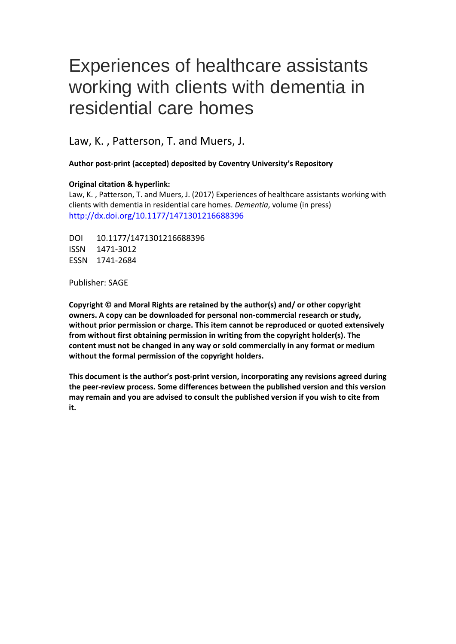# Experiences of healthcare assistants working with clients with dementia in residential care homes

Law, K. , Patterson, T. and Muers, J.

**Author post-print (accepted) deposited by Coventry University's Repository**

#### **Original citation & hyperlink:**

Law, K. , Patterson, T. and Muers, J. (2017) Experiences of healthcare assistants working with clients with dementia in residential care homes. *Dementia*, volume (in press) <http://dx.doi.org/10.1177/1471301216688396>

DOI 10.1177/1471301216688396 ISSN 1471-3012 ESSN 1741-2684

Publisher: SAGE

**Copyright © and Moral Rights are retained by the author(s) and/ or other copyright owners. A copy can be downloaded for personal non-commercial research or study, without prior permission or charge. This item cannot be reproduced or quoted extensively from without first obtaining permission in writing from the copyright holder(s). The content must not be changed in any way or sold commercially in any format or medium without the formal permission of the copyright holders.** 

**This document is the author's post-print version, incorporating any revisions agreed during the peer-review process. Some differences between the published version and this version may remain and you are advised to consult the published version if you wish to cite from it.**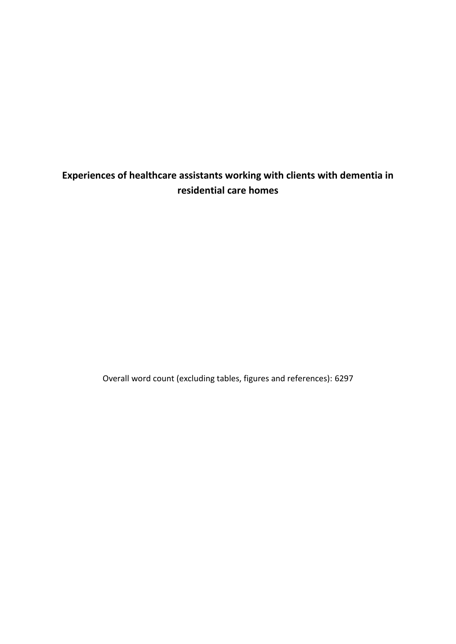## **Experiences of healthcare assistants working with clients with dementia in residential care homes**

Overall word count (excluding tables, figures and references): 6297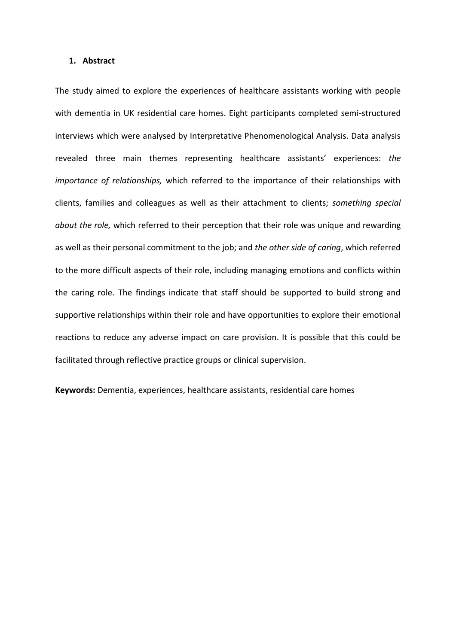#### **1. Abstract**

The study aimed to explore the experiences of healthcare assistants working with people with dementia in UK residential care homes. Eight participants completed semi-structured interviews which were analysed by Interpretative Phenomenological Analysis. Data analysis revealed three main themes representing healthcare assistants' experiences: *the importance of relationships,* which referred to the importance of their relationships with clients, families and colleagues as well as their attachment to clients; *something special about the role,* which referred to their perception that their role was unique and rewarding as well as their personal commitment to the job; and *the other side of caring*, which referred to the more difficult aspects of their role, including managing emotions and conflicts within the caring role. The findings indicate that staff should be supported to build strong and supportive relationships within their role and have opportunities to explore their emotional reactions to reduce any adverse impact on care provision. It is possible that this could be facilitated through reflective practice groups or clinical supervision.

**Keywords:** Dementia, experiences, healthcare assistants, residential care homes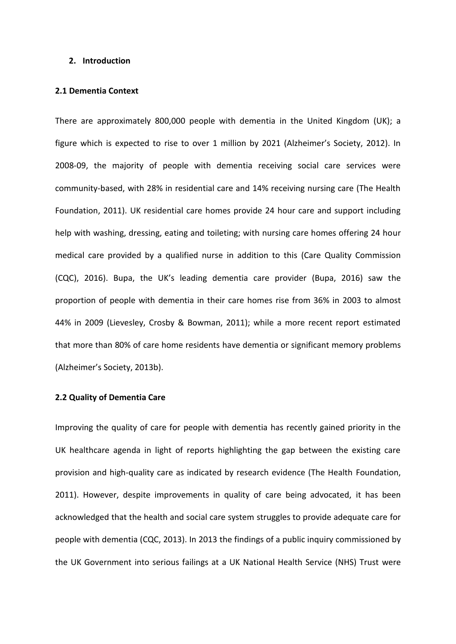#### **2. Introduction**

#### **2.1 Dementia Context**

There are approximately 800,000 people with dementia in the United Kingdom (UK); a figure which is expected to rise to over 1 million by 2021 (Alzheimer's Society, 2012). In 2008-09, the majority of people with dementia receiving social care services were community-based, with 28% in residential care and 14% receiving nursing care (The Health Foundation, 2011). UK residential care homes provide 24 hour care and support including help with washing, dressing, eating and toileting; with nursing care homes offering 24 hour medical care provided by a qualified nurse in addition to this (Care Quality Commission (CQC), 2016). Bupa, the UK's leading dementia care provider (Bupa, 2016) saw the proportion of people with dementia in their care homes rise from 36% in 2003 to almost 44% in 2009 (Lievesley, Crosby & Bowman, 2011); while a more recent report estimated that more than 80% of care home residents have dementia or significant memory problems (Alzheimer's Society, 2013b).

#### **2.2 Quality of Dementia Care**

Improving the quality of care for people with dementia has recently gained priority in the UK healthcare agenda in light of reports highlighting the gap between the existing care provision and high-quality care as indicated by research evidence (The Health Foundation, 2011). However, despite improvements in quality of care being advocated, it has been acknowledged that the health and social care system struggles to provide adequate care for people with dementia (CQC, 2013). In 2013 the findings of a public inquiry commissioned by the UK Government into serious failings at a UK National Health Service (NHS) Trust were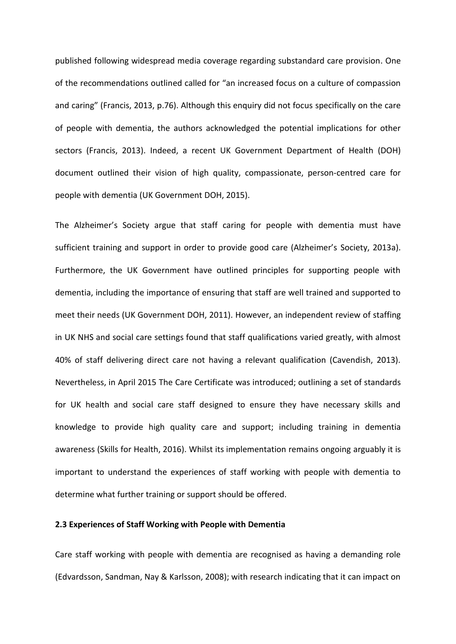published following widespread media coverage regarding substandard care provision. One of the recommendations outlined called for "an increased focus on a culture of compassion and caring" (Francis, 2013, p.76). Although this enquiry did not focus specifically on the care of people with dementia, the authors acknowledged the potential implications for other sectors (Francis, 2013). Indeed, a recent UK Government Department of Health (DOH) document outlined their vision of high quality, compassionate, person-centred care for people with dementia (UK Government DOH, 2015).

The Alzheimer's Society argue that staff caring for people with dementia must have sufficient training and support in order to provide good care (Alzheimer's Society, 2013a). Furthermore, the UK Government have outlined principles for supporting people with dementia, including the importance of ensuring that staff are well trained and supported to meet their needs (UK Government DOH, 2011). However, an independent review of staffing in UK NHS and social care settings found that staff qualifications varied greatly, with almost 40% of staff delivering direct care not having a relevant qualification (Cavendish, 2013). Nevertheless, in April 2015 The Care Certificate was introduced; outlining a set of standards for UK health and social care staff designed to ensure they have necessary skills and knowledge to provide high quality care and support; including training in dementia awareness (Skills for Health, 2016). Whilst its implementation remains ongoing arguably it is important to understand the experiences of staff working with people with dementia to determine what further training or support should be offered.

#### **2.3 Experiences of Staff Working with People with Dementia**

Care staff working with people with dementia are recognised as having a demanding role (Edvardsson, Sandman, Nay & Karlsson, 2008); with research indicating that it can impact on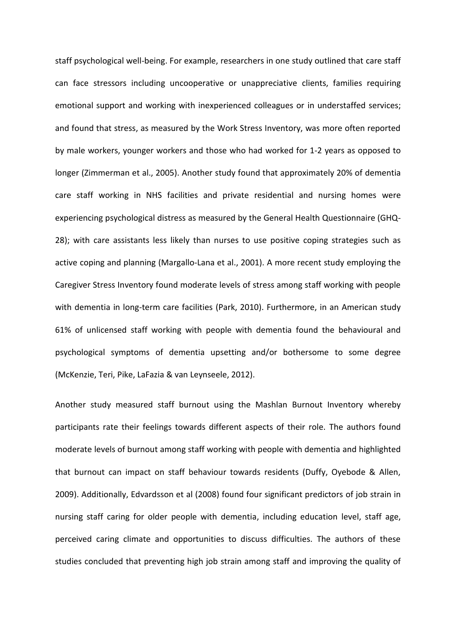staff psychological well-being. For example, researchers in one study outlined that care staff can face stressors including uncooperative or unappreciative clients, families requiring emotional support and working with inexperienced colleagues or in understaffed services; and found that stress, as measured by the Work Stress Inventory, was more often reported by male workers, younger workers and those who had worked for 1-2 years as opposed to longer (Zimmerman et al., 2005). Another study found that approximately 20% of dementia care staff working in NHS facilities and private residential and nursing homes were experiencing psychological distress as measured by the General Health Questionnaire (GHQ-28); with care assistants less likely than nurses to use positive coping strategies such as active coping and planning (Margallo-Lana et al., 2001). A more recent study employing the Caregiver Stress Inventory found moderate levels of stress among staff working with people with dementia in long-term care facilities (Park, 2010). Furthermore, in an American study 61% of unlicensed staff working with people with dementia found the behavioural and psychological symptoms of dementia upsetting and/or bothersome to some degree (McKenzie, Teri, Pike, LaFazia & van Leynseele, 2012).

Another study measured staff burnout using the Mashlan Burnout Inventory whereby participants rate their feelings towards different aspects of their role. The authors found moderate levels of burnout among staff working with people with dementia and highlighted that burnout can impact on staff behaviour towards residents (Duffy, Oyebode & Allen, 2009). Additionally, Edvardsson et al (2008) found four significant predictors of job strain in nursing staff caring for older people with dementia, including education level, staff age, perceived caring climate and opportunities to discuss difficulties. The authors of these studies concluded that preventing high job strain among staff and improving the quality of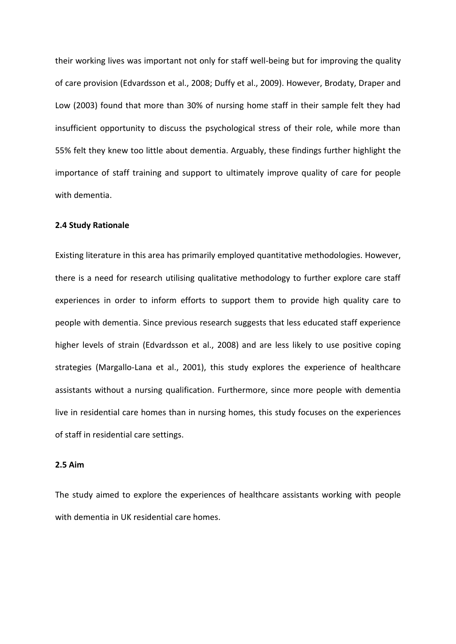their working lives was important not only for staff well-being but for improving the quality of care provision (Edvardsson et al., 2008; Duffy et al., 2009). However, Brodaty, Draper and Low (2003) found that more than 30% of nursing home staff in their sample felt they had insufficient opportunity to discuss the psychological stress of their role, while more than 55% felt they knew too little about dementia. Arguably, these findings further highlight the importance of staff training and support to ultimately improve quality of care for people with dementia.

#### **2.4 Study Rationale**

Existing literature in this area has primarily employed quantitative methodologies. However, there is a need for research utilising qualitative methodology to further explore care staff experiences in order to inform efforts to support them to provide high quality care to people with dementia. Since previous research suggests that less educated staff experience higher levels of strain (Edvardsson et al., 2008) and are less likely to use positive coping strategies (Margallo-Lana et al., 2001), this study explores the experience of healthcare assistants without a nursing qualification. Furthermore, since more people with dementia live in residential care homes than in nursing homes, this study focuses on the experiences of staff in residential care settings.

#### **2.5 Aim**

The study aimed to explore the experiences of healthcare assistants working with people with dementia in UK residential care homes.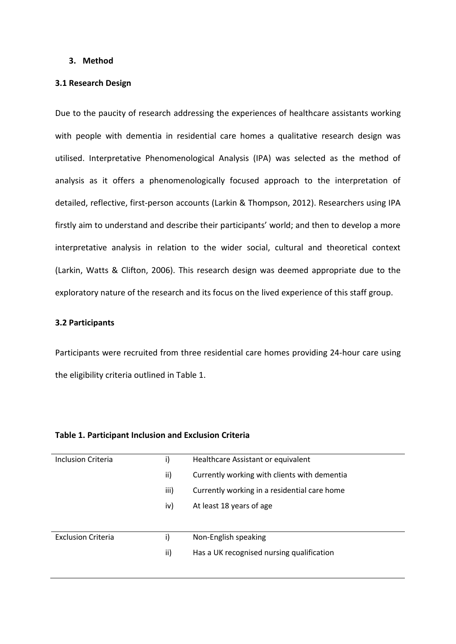#### **3. Method**

#### **3.1 Research Design**

Due to the paucity of research addressing the experiences of healthcare assistants working with people with dementia in residential care homes a qualitative research design was utilised. Interpretative Phenomenological Analysis (IPA) was selected as the method of analysis as it offers a phenomenologically focused approach to the interpretation of detailed, reflective, first-person accounts (Larkin & Thompson, 2012). Researchers using IPA firstly aim to understand and describe their participants' world; and then to develop a more interpretative analysis in relation to the wider social, cultural and theoretical context (Larkin, Watts & Clifton, 2006). This research design was deemed appropriate due to the exploratory nature of the research and its focus on the lived experience of this staff group.

#### **3.2 Participants**

Participants were recruited from three residential care homes providing 24-hour care using the eligibility criteria outlined in Table 1.

| Inclusion Criteria        | i)   | Healthcare Assistant or equivalent           |  |
|---------------------------|------|----------------------------------------------|--|
|                           | ii)  | Currently working with clients with dementia |  |
|                           | iii) | Currently working in a residential care home |  |
|                           | iv)  | At least 18 years of age                     |  |
|                           |      |                                              |  |
| <b>Exclusion Criteria</b> | i)   | Non-English speaking                         |  |
|                           | ii)  | Has a UK recognised nursing qualification    |  |
|                           |      |                                              |  |

#### **Table 1. Participant Inclusion and Exclusion Criteria**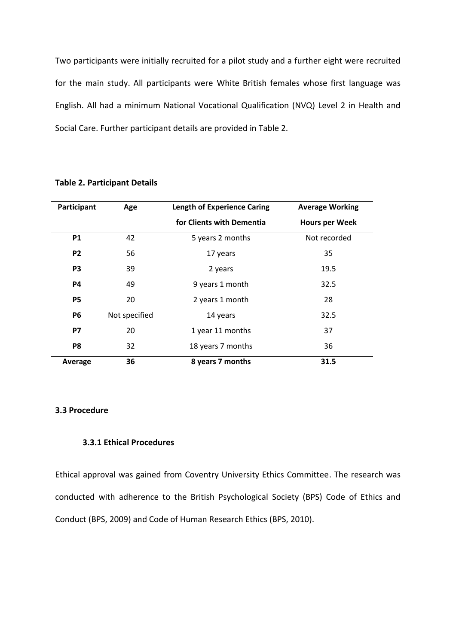Two participants were initially recruited for a pilot study and a further eight were recruited for the main study. All participants were White British females whose first language was English. All had a minimum National Vocational Qualification (NVQ) Level 2 in Health and Social Care. Further participant details are provided in Table 2.

| Participant    | Age           | <b>Length of Experience Caring</b> | <b>Average Working</b> |
|----------------|---------------|------------------------------------|------------------------|
|                |               | for Clients with Dementia          | <b>Hours per Week</b>  |
| <b>P1</b>      | 42            | 5 years 2 months                   | Not recorded           |
| P <sub>2</sub> | 56            | 17 years                           | 35                     |
| P <sub>3</sub> | 39            | 2 years                            | 19.5                   |
| <b>P4</b>      | 49            | 9 years 1 month                    | 32.5                   |
| <b>P5</b>      | 20            | 2 years 1 month                    | 28                     |
| <b>P6</b>      | Not specified | 14 years                           | 32.5                   |
| <b>P7</b>      | 20            | 1 year 11 months                   | 37                     |
| P8             | 32            | 18 years 7 months                  | 36                     |
| Average        | 36            | 8 years 7 months                   | 31.5                   |

#### **Table 2. Participant Details**

#### **3.3 Procedure**

#### **3.3.1 Ethical Procedures**

Ethical approval was gained from Coventry University Ethics Committee. The research was conducted with adherence to the British Psychological Society (BPS) Code of Ethics and Conduct (BPS, 2009) and Code of Human Research Ethics (BPS, 2010).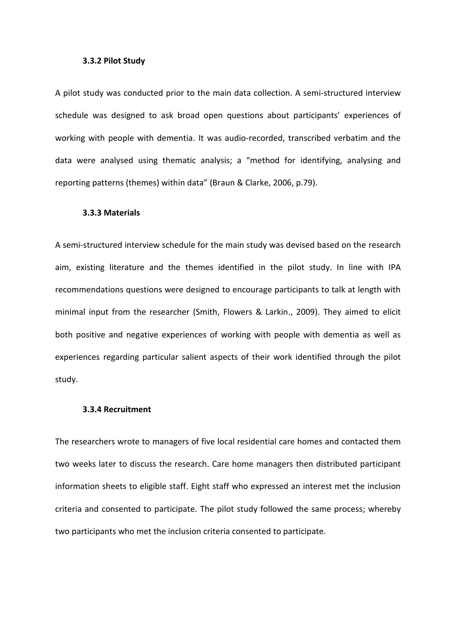#### **3.3.2 Pilot Study**

A pilot study was conducted prior to the main data collection. A semi-structured interview schedule was designed to ask broad open questions about participants' experiences of working with people with dementia. It was audio-recorded, transcribed verbatim and the data were analysed using thematic analysis; a "method for identifying, analysing and reporting patterns (themes) within data" (Braun & Clarke, 2006, p.79).

#### **3.3.3 Materials**

A semi-structured interview schedule for the main study was devised based on the research aim, existing literature and the themes identified in the pilot study. In line with IPA recommendations questions were designed to encourage participants to talk at length with minimal input from the researcher (Smith, Flowers & Larkin., 2009). They aimed to elicit both positive and negative experiences of working with people with dementia as well as experiences regarding particular salient aspects of their work identified through the pilot study.

#### **3.3.4 Recruitment**

The researchers wrote to managers of five local residential care homes and contacted them two weeks later to discuss the research. Care home managers then distributed participant information sheets to eligible staff. Eight staff who expressed an interest met the inclusion criteria and consented to participate. The pilot study followed the same process; whereby two participants who met the inclusion criteria consented to participate.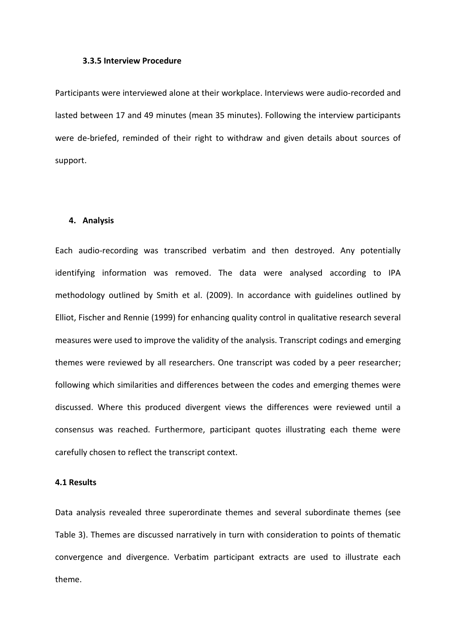#### **3.3.5 Interview Procedure**

Participants were interviewed alone at their workplace. Interviews were audio-recorded and lasted between 17 and 49 minutes (mean 35 minutes). Following the interview participants were de-briefed, reminded of their right to withdraw and given details about sources of support.

#### **4. Analysis**

Each audio-recording was transcribed verbatim and then destroyed. Any potentially identifying information was removed. The data were analysed according to IPA methodology outlined by Smith et al. (2009). In accordance with guidelines outlined by Elliot, Fischer and Rennie (1999) for enhancing quality control in qualitative research several measures were used to improve the validity of the analysis. Transcript codings and emerging themes were reviewed by all researchers. One transcript was coded by a peer researcher; following which similarities and differences between the codes and emerging themes were discussed. Where this produced divergent views the differences were reviewed until a consensus was reached. Furthermore, participant quotes illustrating each theme were carefully chosen to reflect the transcript context.

#### **4.1 Results**

Data analysis revealed three superordinate themes and several subordinate themes (see Table 3). Themes are discussed narratively in turn with consideration to points of thematic convergence and divergence. Verbatim participant extracts are used to illustrate each theme.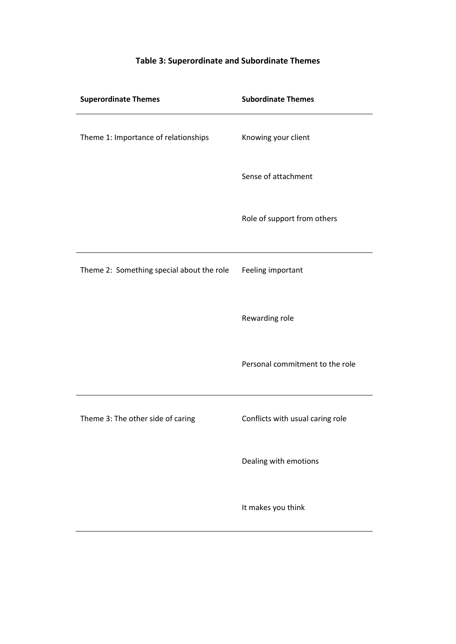# **Superordinate Themes Subordinate Themes** Theme 1: Importance of relationships Knowing your client Sense of attachment Role of support from others Theme 2: Something special about the role Feeling important Rewarding role Personal commitment to the role Theme 3: The other side of caring Conflicts with usual caring role Dealing with emotions It makes you think

#### **Table 3: Superordinate and Subordinate Themes**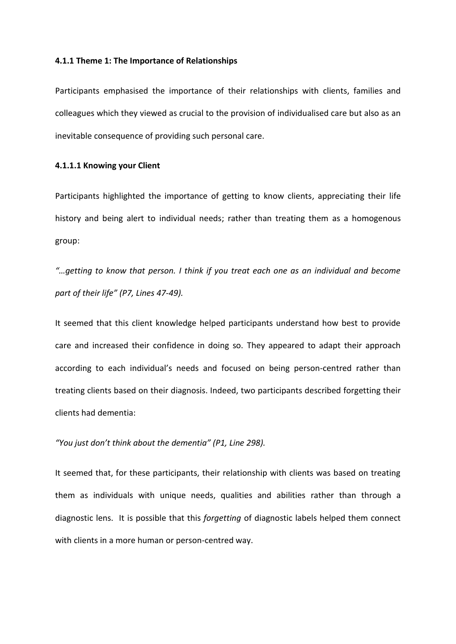#### **4.1.1 Theme 1: The Importance of Relationships**

Participants emphasised the importance of their relationships with clients, families and colleagues which they viewed as crucial to the provision of individualised care but also as an inevitable consequence of providing such personal care.

#### **4.1.1.1 Knowing your Client**

Participants highlighted the importance of getting to know clients, appreciating their life history and being alert to individual needs; rather than treating them as a homogenous group:

*"…getting to know that person. I think if you treat each one as an individual and become part of their life" (P7, Lines 47-49).* 

It seemed that this client knowledge helped participants understand how best to provide care and increased their confidence in doing so. They appeared to adapt their approach according to each individual's needs and focused on being person-centred rather than treating clients based on their diagnosis. Indeed, two participants described forgetting their clients had dementia:

#### *"You just don't think about the dementia" (P1, Line 298).*

It seemed that, for these participants, their relationship with clients was based on treating them as individuals with unique needs, qualities and abilities rather than through a diagnostic lens. It is possible that this *forgetting* of diagnostic labels helped them connect with clients in a more human or person-centred way.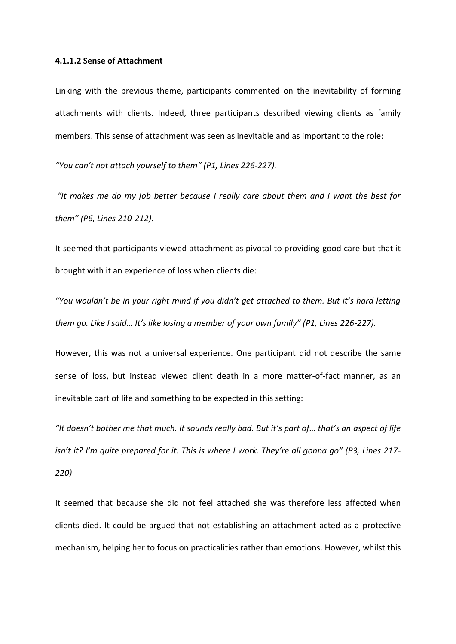#### **4.1.1.2 Sense of Attachment**

Linking with the previous theme, participants commented on the inevitability of forming attachments with clients. Indeed, three participants described viewing clients as family members. This sense of attachment was seen as inevitable and as important to the role:

*"You can't not attach yourself to them" (P1, Lines 226-227).* 

*"It makes me do my job better because I really care about them and I want the best for them" (P6, Lines 210-212).* 

It seemed that participants viewed attachment as pivotal to providing good care but that it brought with it an experience of loss when clients die:

*"You wouldn't be in your right mind if you didn't get attached to them. But it's hard letting them go. Like I said… It's like losing a member of your own family" (P1, Lines 226-227).* 

However, this was not a universal experience. One participant did not describe the same sense of loss, but instead viewed client death in a more matter-of-fact manner, as an inevitable part of life and something to be expected in this setting:

*"It doesn't bother me that much. It sounds really bad. But it's part of… that's an aspect of life isn't it? I'm quite prepared for it. This is where I work. They're all gonna go" (P3, Lines 217- 220)*

It seemed that because she did not feel attached she was therefore less affected when clients died. It could be argued that not establishing an attachment acted as a protective mechanism, helping her to focus on practicalities rather than emotions. However, whilst this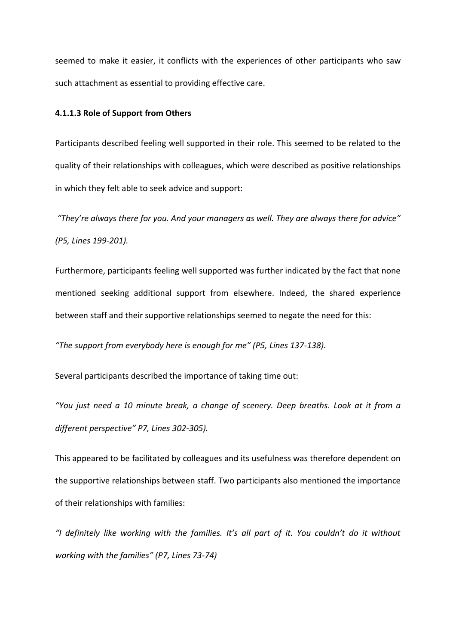seemed to make it easier, it conflicts with the experiences of other participants who saw such attachment as essential to providing effective care.

#### **4.1.1.3 Role of Support from Others**

Participants described feeling well supported in their role. This seemed to be related to the quality of their relationships with colleagues, which were described as positive relationships in which they felt able to seek advice and support:

*"They're always there for you. And your managers as well. They are always there for advice" (P5, Lines 199-201).*

Furthermore, participants feeling well supported was further indicated by the fact that none mentioned seeking additional support from elsewhere. Indeed, the shared experience between staff and their supportive relationships seemed to negate the need for this:

*"The support from everybody here is enough for me" (P5, Lines 137-138).* 

Several participants described the importance of taking time out:

*"You just need a 10 minute break, a change of scenery. Deep breaths. Look at it from a different perspective" P7, Lines 302-305).* 

This appeared to be facilitated by colleagues and its usefulness was therefore dependent on the supportive relationships between staff. Two participants also mentioned the importance of their relationships with families:

*"I definitely like working with the families. It's all part of it. You couldn't do it without working with the families" (P7, Lines 73-74)*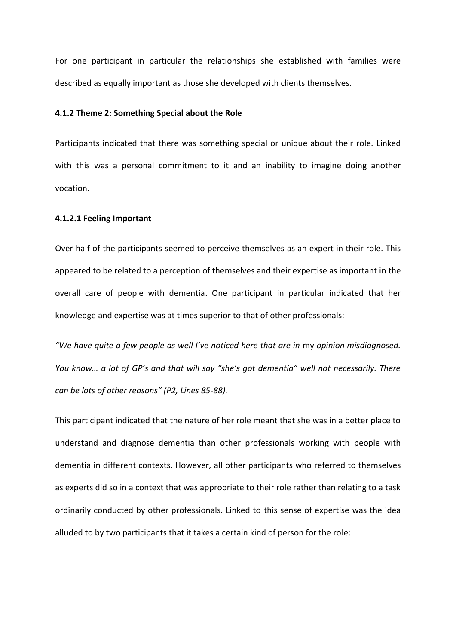For one participant in particular the relationships she established with families were described as equally important as those she developed with clients themselves.

#### **4.1.2 Theme 2: Something Special about the Role**

Participants indicated that there was something special or unique about their role. Linked with this was a personal commitment to it and an inability to imagine doing another vocation.

#### **4.1.2.1 Feeling Important**

Over half of the participants seemed to perceive themselves as an expert in their role. This appeared to be related to a perception of themselves and their expertise as important in the overall care of people with dementia. One participant in particular indicated that her knowledge and expertise was at times superior to that of other professionals:

*"We have quite a few people as well I've noticed here that are in* my *opinion misdiagnosed. You know… a lot of GP's and that will say "she's got dementia" well not necessarily. There can be lots of other reasons" (P2, Lines 85-88).* 

This participant indicated that the nature of her role meant that she was in a better place to understand and diagnose dementia than other professionals working with people with dementia in different contexts. However, all other participants who referred to themselves as experts did so in a context that was appropriate to their role rather than relating to a task ordinarily conducted by other professionals. Linked to this sense of expertise was the idea alluded to by two participants that it takes a certain kind of person for the role: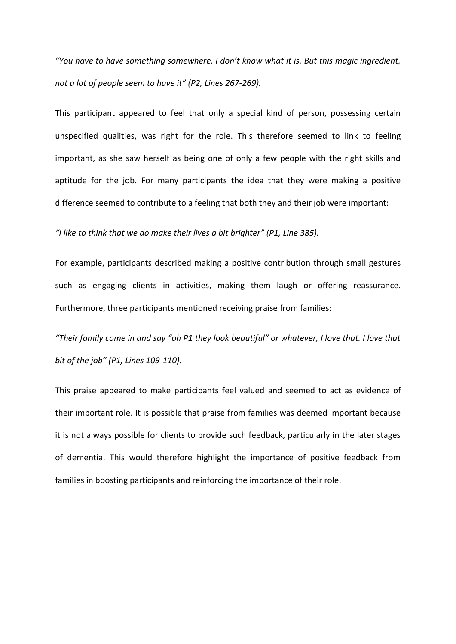*"You have to have something somewhere. I don't know what it is. But this magic ingredient, not a lot of people seem to have it" (P2, Lines 267-269).* 

This participant appeared to feel that only a special kind of person, possessing certain unspecified qualities, was right for the role. This therefore seemed to link to feeling important, as she saw herself as being one of only a few people with the right skills and aptitude for the job. For many participants the idea that they were making a positive difference seemed to contribute to a feeling that both they and their job were important:

*"I like to think that we do make their lives a bit brighter" (P1, Line 385).* 

For example, participants described making a positive contribution through small gestures such as engaging clients in activities, making them laugh or offering reassurance. Furthermore, three participants mentioned receiving praise from families:

*"Their family come in and say "oh P1 they look beautiful" or whatever, I love that. I love that bit of the job" (P1, Lines 109-110).* 

This praise appeared to make participants feel valued and seemed to act as evidence of their important role. It is possible that praise from families was deemed important because it is not always possible for clients to provide such feedback, particularly in the later stages of dementia. This would therefore highlight the importance of positive feedback from families in boosting participants and reinforcing the importance of their role.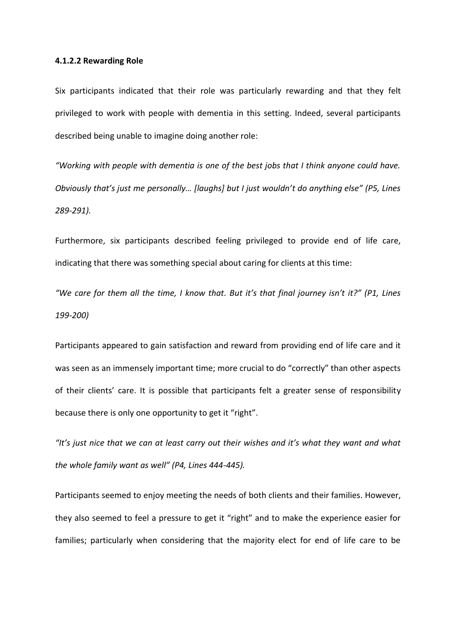#### **4.1.2.2 Rewarding Role**

Six participants indicated that their role was particularly rewarding and that they felt privileged to work with people with dementia in this setting. Indeed, several participants described being unable to imagine doing another role:

*"Working with people with dementia is one of the best jobs that I think anyone could have. Obviously that's just me personally… [laughs] but I just wouldn't do anything else" (P5, Lines 289-291).* 

Furthermore, six participants described feeling privileged to provide end of life care, indicating that there was something special about caring for clients at this time:

*"We care for them all the time, I know that. But it's that final journey isn't it?" (P1, Lines 199-200)*

Participants appeared to gain satisfaction and reward from providing end of life care and it was seen as an immensely important time; more crucial to do "correctly" than other aspects of their clients' care. It is possible that participants felt a greater sense of responsibility because there is only one opportunity to get it "right".

*"It's just nice that we can at least carry out their wishes and it's what they want and what the whole family want as well" (P4, Lines 444-445).* 

Participants seemed to enjoy meeting the needs of both clients and their families. However, they also seemed to feel a pressure to get it "right" and to make the experience easier for families; particularly when considering that the majority elect for end of life care to be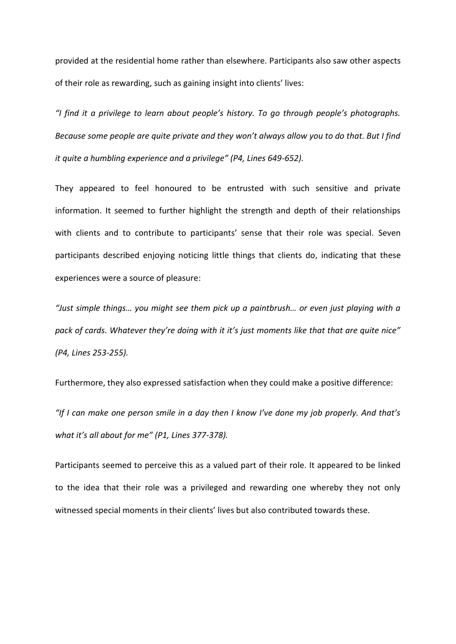provided at the residential home rather than elsewhere. Participants also saw other aspects of their role as rewarding, such as gaining insight into clients' lives:

*"I find it a privilege to learn about people's history. To go through people's photographs. Because some people are quite private and they won't always allow you to do that. But I find it quite a humbling experience and a privilege" (P4, Lines 649-652).* 

They appeared to feel honoured to be entrusted with such sensitive and private information. It seemed to further highlight the strength and depth of their relationships with clients and to contribute to participants' sense that their role was special. Seven participants described enjoying noticing little things that clients do, indicating that these experiences were a source of pleasure:

*"Just simple things… you might see them pick up a paintbrush… or even just playing with a pack of cards. Whatever they're doing with it it's just moments like that that are quite nice" (P4, Lines 253-255).* 

Furthermore, they also expressed satisfaction when they could make a positive difference: *"If I can make one person smile in a day then I know I've done my job properly. And that's what it's all about for me" (P1, Lines 377-378).* 

Participants seemed to perceive this as a valued part of their role. It appeared to be linked to the idea that their role was a privileged and rewarding one whereby they not only witnessed special moments in their clients' lives but also contributed towards these.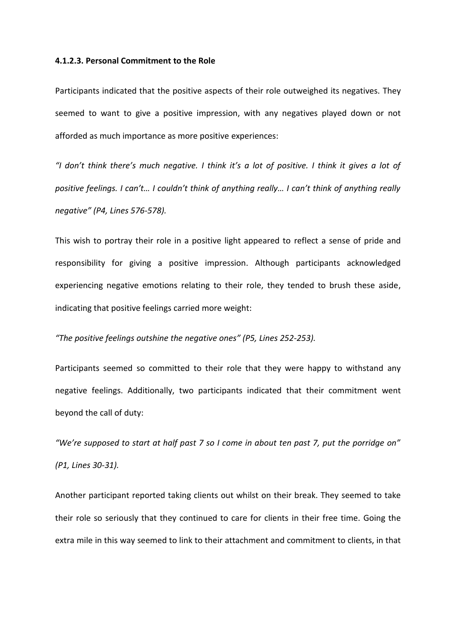#### **4.1.2.3. Personal Commitment to the Role**

Participants indicated that the positive aspects of their role outweighed its negatives. They seemed to want to give a positive impression, with any negatives played down or not afforded as much importance as more positive experiences:

*"I don't think there's much negative. I think it's a lot of positive. I think it gives a lot of positive feelings. I can't… I couldn't think of anything really… I can't think of anything really negative" (P4, Lines 576-578).* 

This wish to portray their role in a positive light appeared to reflect a sense of pride and responsibility for giving a positive impression. Although participants acknowledged experiencing negative emotions relating to their role, they tended to brush these aside, indicating that positive feelings carried more weight:

#### *"The positive feelings outshine the negative ones" (P5, Lines 252-253).*

Participants seemed so committed to their role that they were happy to withstand any negative feelings. Additionally, two participants indicated that their commitment went beyond the call of duty:

*"We're supposed to start at half past 7 so I come in about ten past 7, put the porridge on" (P1, Lines 30-31).* 

Another participant reported taking clients out whilst on their break. They seemed to take their role so seriously that they continued to care for clients in their free time. Going the extra mile in this way seemed to link to their attachment and commitment to clients, in that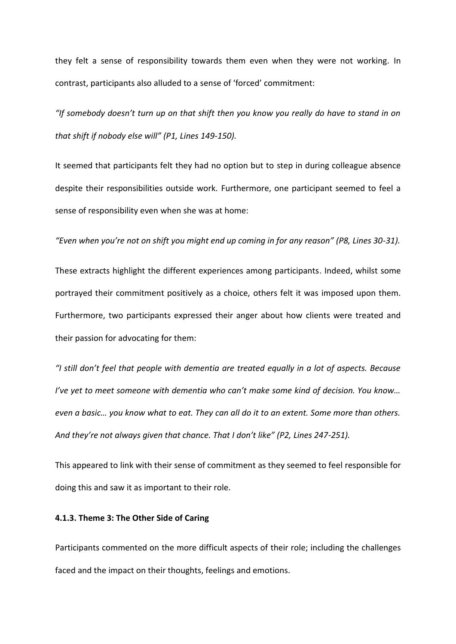they felt a sense of responsibility towards them even when they were not working. In contrast, participants also alluded to a sense of 'forced' commitment:

*"If somebody doesn't turn up on that shift then you know you really do have to stand in on that shift if nobody else will" (P1, Lines 149-150).* 

It seemed that participants felt they had no option but to step in during colleague absence despite their responsibilities outside work. Furthermore, one participant seemed to feel a sense of responsibility even when she was at home:

*"Even when you're not on shift you might end up coming in for any reason" (P8, Lines 30-31).*

These extracts highlight the different experiences among participants. Indeed, whilst some portrayed their commitment positively as a choice, others felt it was imposed upon them. Furthermore, two participants expressed their anger about how clients were treated and their passion for advocating for them:

*"I still don't feel that people with dementia are treated equally in a lot of aspects. Because I've yet to meet someone with dementia who can't make some kind of decision. You know… even a basic… you know what to eat. They can all do it to an extent. Some more than others. And they're not always given that chance. That I don't like" (P2, Lines 247-251).* 

This appeared to link with their sense of commitment as they seemed to feel responsible for doing this and saw it as important to their role.

#### **4.1.3. Theme 3: The Other Side of Caring**

Participants commented on the more difficult aspects of their role; including the challenges faced and the impact on their thoughts, feelings and emotions.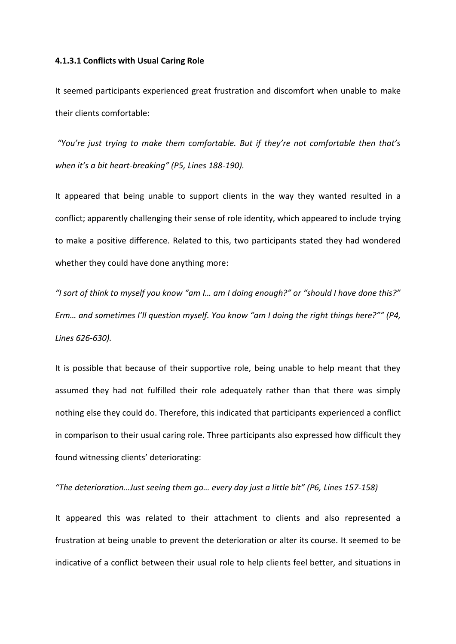#### **4.1.3.1 Conflicts with Usual Caring Role**

It seemed participants experienced great frustration and discomfort when unable to make their clients comfortable:

*"You're just trying to make them comfortable. But if they're not comfortable then that's when it's a bit heart-breaking" (P5, Lines 188-190).* 

It appeared that being unable to support clients in the way they wanted resulted in a conflict; apparently challenging their sense of role identity, which appeared to include trying to make a positive difference. Related to this, two participants stated they had wondered whether they could have done anything more:

*"I sort of think to myself you know "am I… am I doing enough?" or "should I have done this?" Erm… and sometimes I'll question myself. You know "am I doing the right things here?"" (P4, Lines 626-630).* 

It is possible that because of their supportive role, being unable to help meant that they assumed they had not fulfilled their role adequately rather than that there was simply nothing else they could do. Therefore, this indicated that participants experienced a conflict in comparison to their usual caring role. Three participants also expressed how difficult they found witnessing clients' deteriorating:

#### *"The deterioration…Just seeing them go… every day just a little bit" (P6, Lines 157-158)*

It appeared this was related to their attachment to clients and also represented a frustration at being unable to prevent the deterioration or alter its course. It seemed to be indicative of a conflict between their usual role to help clients feel better, and situations in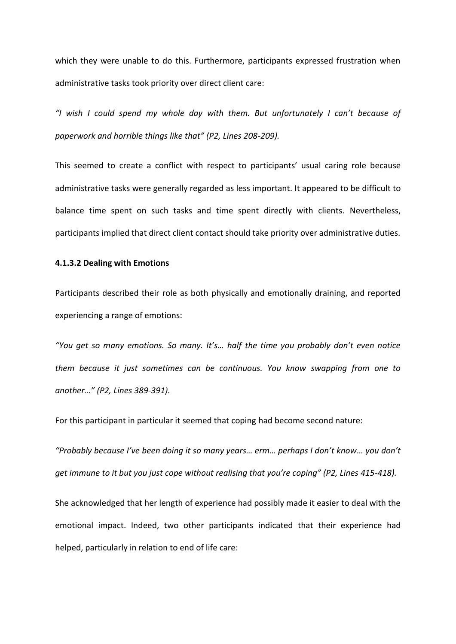which they were unable to do this. Furthermore, participants expressed frustration when administrative tasks took priority over direct client care:

*"I wish I could spend my whole day with them. But unfortunately I can't because of paperwork and horrible things like that" (P2, Lines 208-209).* 

This seemed to create a conflict with respect to participants' usual caring role because administrative tasks were generally regarded as less important. It appeared to be difficult to balance time spent on such tasks and time spent directly with clients. Nevertheless, participants implied that direct client contact should take priority over administrative duties.

#### **4.1.3.2 Dealing with Emotions**

Participants described their role as both physically and emotionally draining, and reported experiencing a range of emotions:

*"You get so many emotions. So many. It's… half the time you probably don't even notice them because it just sometimes can be continuous. You know swapping from one to another…" (P2, Lines 389-391).* 

For this participant in particular it seemed that coping had become second nature:

*"Probably because I've been doing it so many years… erm… perhaps I don't know… you don't get immune to it but you just cope without realising that you're coping" (P2, Lines 415-418).* 

She acknowledged that her length of experience had possibly made it easier to deal with the emotional impact. Indeed, two other participants indicated that their experience had helped, particularly in relation to end of life care: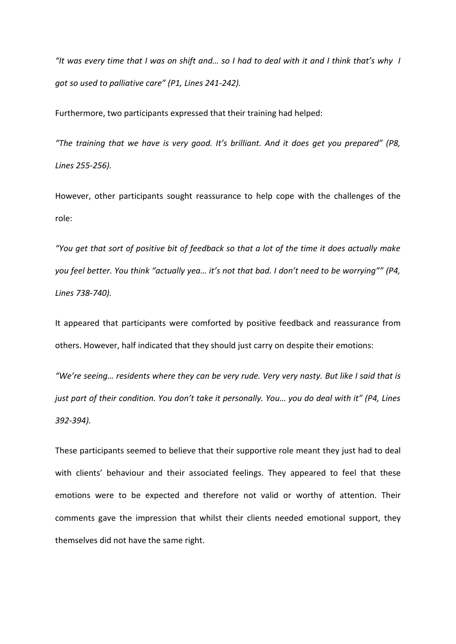*"It was every time that I was on shift and… so I had to deal with it and I think that's why I got so used to palliative care" (P1, Lines 241-242).*

Furthermore, two participants expressed that their training had helped:

*"The training that we have is very good. It's brilliant. And it does get you prepared" (P8, Lines 255-256).*

However, other participants sought reassurance to help cope with the challenges of the role:

*"You get that sort of positive bit of feedback so that a lot of the time it does actually make you feel better. You think "actually yea… it's not that bad. I don't need to be worrying"" (P4, Lines 738-740).* 

It appeared that participants were comforted by positive feedback and reassurance from others. However, half indicated that they should just carry on despite their emotions:

*"We're seeing… residents where they can be very rude. Very very nasty. But like I said that is just part of their condition. You don't take it personally. You… you do deal with it" (P4, Lines 392-394).* 

These participants seemed to believe that their supportive role meant they just had to deal with clients' behaviour and their associated feelings. They appeared to feel that these emotions were to be expected and therefore not valid or worthy of attention. Their comments gave the impression that whilst their clients needed emotional support, they themselves did not have the same right.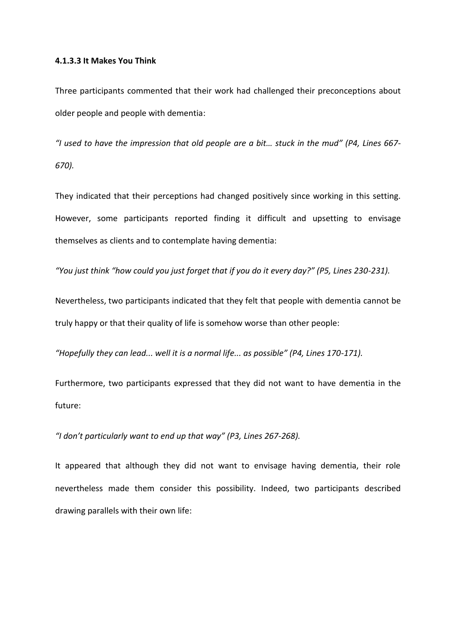#### **4.1.3.3 It Makes You Think**

Three participants commented that their work had challenged their preconceptions about older people and people with dementia:

*"I used to have the impression that old people are a bit… stuck in the mud" (P4, Lines 667- 670).* 

They indicated that their perceptions had changed positively since working in this setting. However, some participants reported finding it difficult and upsetting to envisage themselves as clients and to contemplate having dementia:

*"You just think "how could you just forget that if you do it every day?" (P5, Lines 230-231).* 

Nevertheless, two participants indicated that they felt that people with dementia cannot be truly happy or that their quality of life is somehow worse than other people:

*"Hopefully they can lead... well it is a normal life... as possible" (P4, Lines 170-171).*

Furthermore, two participants expressed that they did not want to have dementia in the future:

*"I don't particularly want to end up that way" (P3, Lines 267-268).* 

It appeared that although they did not want to envisage having dementia, their role nevertheless made them consider this possibility. Indeed, two participants described drawing parallels with their own life: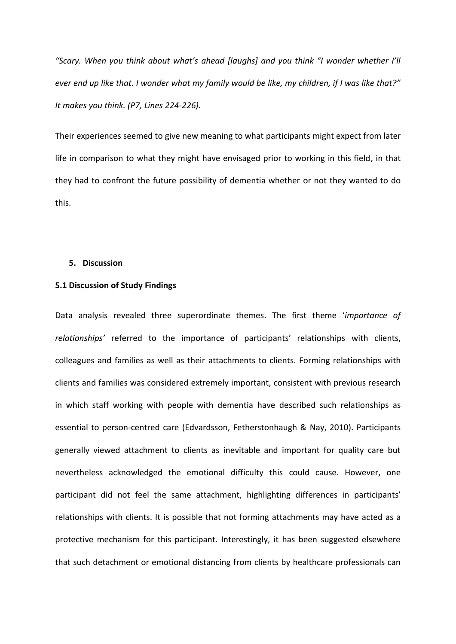*"Scary. When you think about what's ahead [laughs] and you think "I wonder whether I'll ever end up like that. I wonder what my family would be like, my children, if I was like that?" It makes you think. (P7, Lines 224-226).* 

Their experiences seemed to give new meaning to what participants might expect from later life in comparison to what they might have envisaged prior to working in this field, in that they had to confront the future possibility of dementia whether or not they wanted to do this.

#### **5. Discussion**

#### **5.1 Discussion of Study Findings**

Data analysis revealed three superordinate themes. The first theme '*importance of relationships'* referred to the importance of participants' relationships with clients, colleagues and families as well as their attachments to clients. Forming relationships with clients and families was considered extremely important, consistent with previous research in which staff working with people with dementia have described such relationships as essential to person-centred care (Edvardsson, Fetherstonhaugh & Nay, 2010). Participants generally viewed attachment to clients as inevitable and important for quality care but nevertheless acknowledged the emotional difficulty this could cause. However, one participant did not feel the same attachment, highlighting differences in participants' relationships with clients. It is possible that not forming attachments may have acted as a protective mechanism for this participant. Interestingly, it has been suggested elsewhere that such detachment or emotional distancing from clients by healthcare professionals can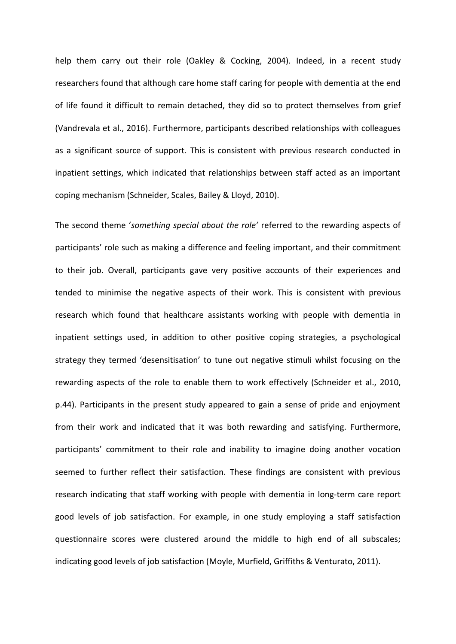help them carry out their role (Oakley & Cocking, 2004). Indeed, in a recent study researchers found that although care home staff caring for people with dementia at the end of life found it difficult to remain detached, they did so to protect themselves from grief (Vandrevala et al., 2016). Furthermore, participants described relationships with colleagues as a significant source of support. This is consistent with previous research conducted in inpatient settings, which indicated that relationships between staff acted as an important coping mechanism (Schneider, Scales, Bailey & Lloyd, 2010).

The second theme '*something special about the role'* referred to the rewarding aspects of participants' role such as making a difference and feeling important, and their commitment to their job. Overall, participants gave very positive accounts of their experiences and tended to minimise the negative aspects of their work. This is consistent with previous research which found that healthcare assistants working with people with dementia in inpatient settings used, in addition to other positive coping strategies, a psychological strategy they termed 'desensitisation' to tune out negative stimuli whilst focusing on the rewarding aspects of the role to enable them to work effectively (Schneider et al., 2010, p.44). Participants in the present study appeared to gain a sense of pride and enjoyment from their work and indicated that it was both rewarding and satisfying. Furthermore, participants' commitment to their role and inability to imagine doing another vocation seemed to further reflect their satisfaction. These findings are consistent with previous research indicating that staff working with people with dementia in long-term care report good levels of job satisfaction. For example, in one study employing a staff satisfaction questionnaire scores were clustered around the middle to high end of all subscales; indicating good levels of job satisfaction (Moyle, Murfield, Griffiths & Venturato, 2011).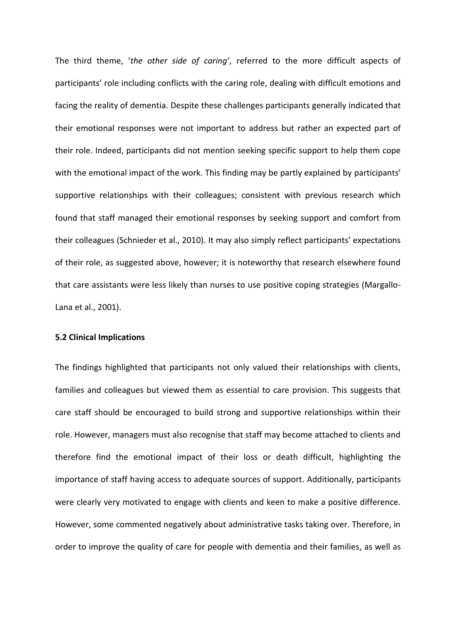The third theme, '*the other side of caring'*, referred to the more difficult aspects of participants' role including conflicts with the caring role, dealing with difficult emotions and facing the reality of dementia. Despite these challenges participants generally indicated that their emotional responses were not important to address but rather an expected part of their role. Indeed, participants did not mention seeking specific support to help them cope with the emotional impact of the work. This finding may be partly explained by participants' supportive relationships with their colleagues; consistent with previous research which found that staff managed their emotional responses by seeking support and comfort from their colleagues (Schnieder et al., 2010). It may also simply reflect participants' expectations of their role, as suggested above, however; it is noteworthy that research elsewhere found that care assistants were less likely than nurses to use positive coping strategies (Margallo-Lana et al., 2001).

#### **5.2 Clinical Implications**

The findings highlighted that participants not only valued their relationships with clients, families and colleagues but viewed them as essential to care provision. This suggests that care staff should be encouraged to build strong and supportive relationships within their role. However, managers must also recognise that staff may become attached to clients and therefore find the emotional impact of their loss or death difficult, highlighting the importance of staff having access to adequate sources of support. Additionally, participants were clearly very motivated to engage with clients and keen to make a positive difference. However, some commented negatively about administrative tasks taking over. Therefore, in order to improve the quality of care for people with dementia and their families, as well as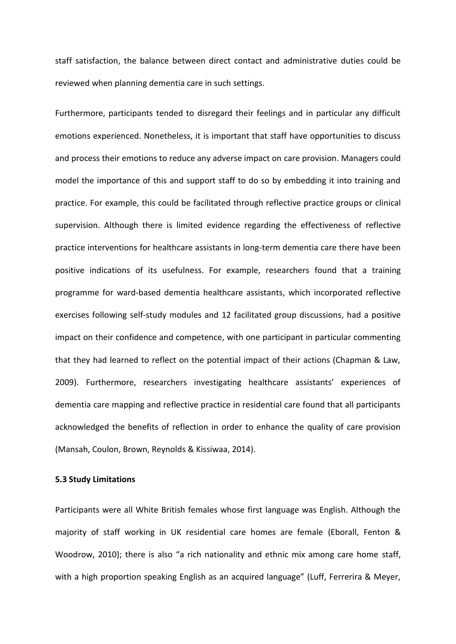staff satisfaction, the balance between direct contact and administrative duties could be reviewed when planning dementia care in such settings.

Furthermore, participants tended to disregard their feelings and in particular any difficult emotions experienced. Nonetheless, it is important that staff have opportunities to discuss and process their emotions to reduce any adverse impact on care provision. Managers could model the importance of this and support staff to do so by embedding it into training and practice. For example, this could be facilitated through reflective practice groups or clinical supervision. Although there is limited evidence regarding the effectiveness of reflective practice interventions for healthcare assistants in long-term dementia care there have been positive indications of its usefulness. For example, researchers found that a training programme for ward-based dementia healthcare assistants, which incorporated reflective exercises following self-study modules and 12 facilitated group discussions, had a positive impact on their confidence and competence, with one participant in particular commenting that they had learned to reflect on the potential impact of their actions (Chapman & Law, 2009). Furthermore, researchers investigating healthcare assistants' experiences of dementia care mapping and reflective practice in residential care found that all participants acknowledged the benefits of reflection in order to enhance the quality of care provision (Mansah, Coulon, Brown, Reynolds & Kissiwaa, 2014).

#### **5.3 Study Limitations**

Participants were all White British females whose first language was English. Although the majority of staff working in UK residential care homes are female (Eborall, Fenton & Woodrow, 2010); there is also "a rich nationality and ethnic mix among care home staff, with a high proportion speaking English as an acquired language" (Luff, Ferrerira & Meyer,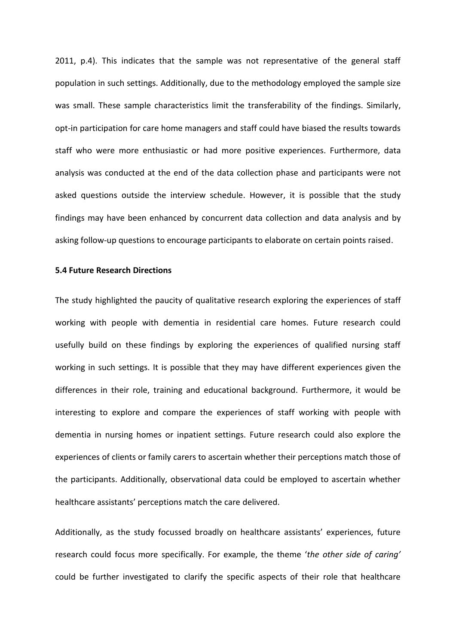2011, p.4). This indicates that the sample was not representative of the general staff population in such settings. Additionally, due to the methodology employed the sample size was small. These sample characteristics limit the transferability of the findings. Similarly, opt-in participation for care home managers and staff could have biased the results towards staff who were more enthusiastic or had more positive experiences. Furthermore, data analysis was conducted at the end of the data collection phase and participants were not asked questions outside the interview schedule. However, it is possible that the study findings may have been enhanced by concurrent data collection and data analysis and by asking follow-up questions to encourage participants to elaborate on certain points raised.

#### **5.4 Future Research Directions**

The study highlighted the paucity of qualitative research exploring the experiences of staff working with people with dementia in residential care homes. Future research could usefully build on these findings by exploring the experiences of qualified nursing staff working in such settings. It is possible that they may have different experiences given the differences in their role, training and educational background. Furthermore, it would be interesting to explore and compare the experiences of staff working with people with dementia in nursing homes or inpatient settings. Future research could also explore the experiences of clients or family carers to ascertain whether their perceptions match those of the participants. Additionally, observational data could be employed to ascertain whether healthcare assistants' perceptions match the care delivered.

Additionally, as the study focussed broadly on healthcare assistants' experiences, future research could focus more specifically. For example, the theme '*the other side of caring'* could be further investigated to clarify the specific aspects of their role that healthcare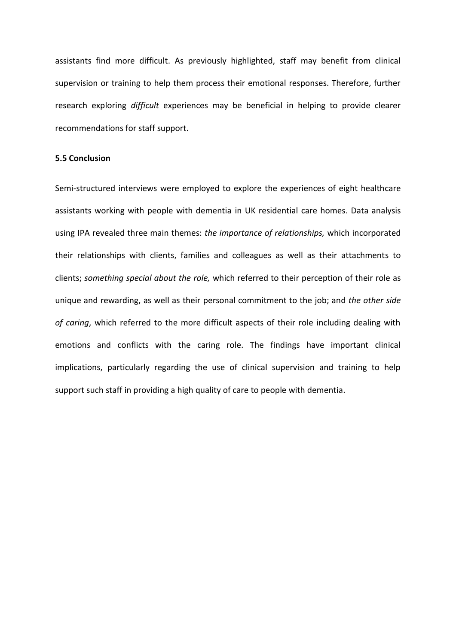assistants find more difficult. As previously highlighted, staff may benefit from clinical supervision or training to help them process their emotional responses. Therefore, further research exploring *difficult* experiences may be beneficial in helping to provide clearer recommendations for staff support.

#### **5.5 Conclusion**

Semi-structured interviews were employed to explore the experiences of eight healthcare assistants working with people with dementia in UK residential care homes. Data analysis using IPA revealed three main themes: *the importance of relationships,* which incorporated their relationships with clients, families and colleagues as well as their attachments to clients; *something special about the role,* which referred to their perception of their role as unique and rewarding, as well as their personal commitment to the job; and *the other side of caring*, which referred to the more difficult aspects of their role including dealing with emotions and conflicts with the caring role. The findings have important clinical implications, particularly regarding the use of clinical supervision and training to help support such staff in providing a high quality of care to people with dementia.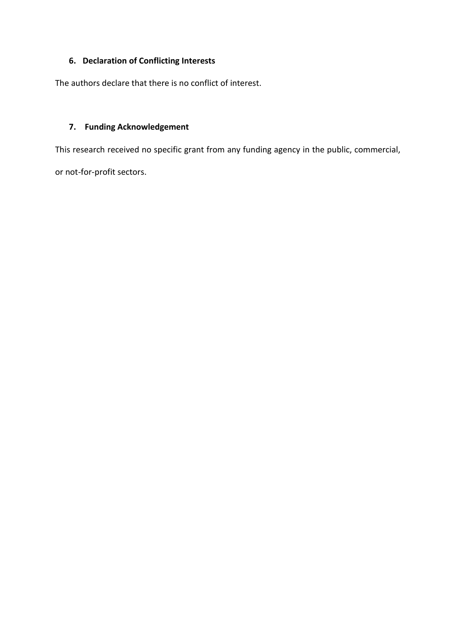## **6. Declaration of Conflicting Interests**

The authors declare that there is no conflict of interest.

#### **7. Funding Acknowledgement**

This research received no specific grant from any funding agency in the public, commercial,

or not-for-profit sectors.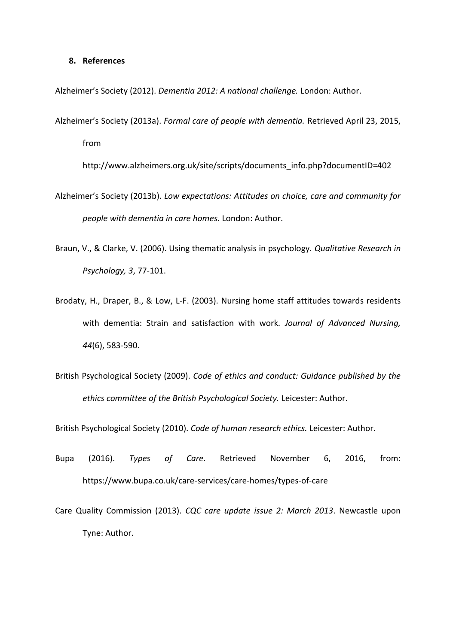#### **8. References**

Alzheimer's Society (2012). *Dementia 2012: A national challenge.* London: Author.

Alzheimer's Society (2013a). *Formal care of people with dementia.* Retrieved April 23, 2015, from

http://www.alzheimers.org.uk/site/scripts/documents\_info.php?documentID=402

- Alzheimer's Society (2013b). *Low expectations: Attitudes on choice, care and community for people with dementia in care homes.* London: Author.
- Braun, V., & Clarke, V. (2006). Using thematic analysis in psychology. *Qualitative Research in Psychology, 3*, 77-101.
- Brodaty, H., Draper, B., & Low, L-F. (2003). Nursing home staff attitudes towards residents with dementia: Strain and satisfaction with work*. Journal of Advanced Nursing, 44*(6), 583-590.
- British Psychological Society (2009). *Code of ethics and conduct: Guidance published by the ethics committee of the British Psychological Society.* Leicester: Author.

British Psychological Society (2010). *Code of human research ethics.* Leicester: Author.

- Bupa (2016). *Types of Care*. Retrieved November 6, 2016, from: https://www.bupa.co.uk/care-services/care-homes/types-of-care
- Care Quality Commission (2013). *CQC care update issue 2: March 2013*. Newcastle upon Tyne: Author.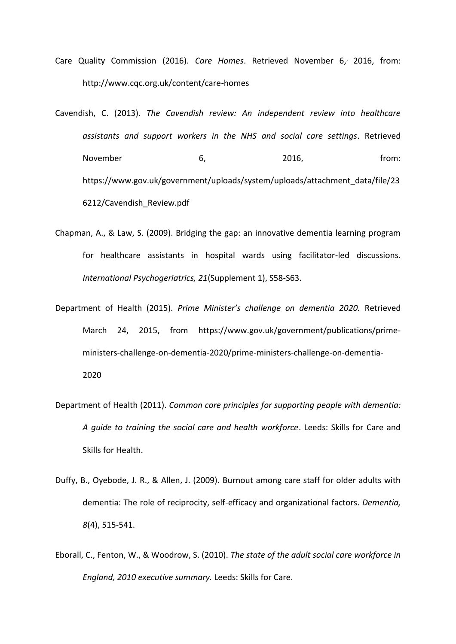- Care Quality Commission (2016). *Care Homes*. Retrieved November 6, 2016, from: http://www.cqc.org.uk/content/care-homes
- Cavendish, C. (2013). *The Cavendish review: An independent review into healthcare assistants and support workers in the NHS and social care settings*. Retrieved November 6, 2016, from: https://www.gov.uk/government/uploads/system/uploads/attachment\_data/file/23 6212/Cavendish\_Review.pdf
- Chapman, A., & Law, S. (2009). Bridging the gap: an innovative dementia learning program for healthcare assistants in hospital wards using facilitator-led discussions. *International Psychogeriatrics, 21*(Supplement 1), S58-S63.
- Department of Health (2015). *Prime Minister's challenge on dementia 2020.* Retrieved March 24, 2015, from [https://www.gov.uk/government/publications/prime](https://www.gov.uk/government/publications/prime-ministers-challenge-on-dementia-2020/prime-ministers-challenge-on-dementia-2020)[ministers-challenge-on-dementia-2020/prime-ministers-challenge-on-dementia-](https://www.gov.uk/government/publications/prime-ministers-challenge-on-dementia-2020/prime-ministers-challenge-on-dementia-2020)[2020](https://www.gov.uk/government/publications/prime-ministers-challenge-on-dementia-2020/prime-ministers-challenge-on-dementia-2020)
- Department of Health (2011). *Common core principles for supporting people with dementia: A guide to training the social care and health workforce*. Leeds: Skills for Care and Skills for Health.
- Duffy, B., Oyebode, J. R., & Allen, J. (2009). Burnout among care staff for older adults with dementia: The role of reciprocity, self-efficacy and organizational factors. *Dementia, 8*(4), 515-541.
- Eborall, C., Fenton, W., & Woodrow, S. (2010). *The state of the adult social care workforce in England, 2010 executive summary.* Leeds: Skills for Care.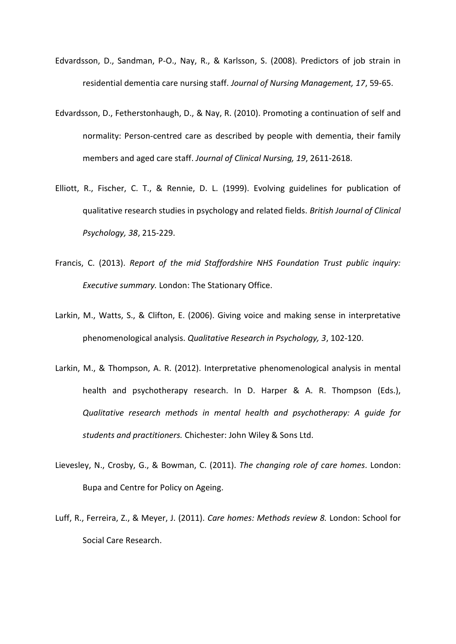- Edvardsson, D., Sandman, P-O., Nay, R., & Karlsson, S. (2008). Predictors of job strain in residential dementia care nursing staff. *Journal of Nursing Management, 17*, 59-65.
- Edvardsson, D., Fetherstonhaugh, D., & Nay, R. (2010). Promoting a continuation of self and normality: Person-centred care as described by people with dementia, their family members and aged care staff. *Journal of Clinical Nursing, 19*, 2611-2618.
- Elliott, R., Fischer, C. T., & Rennie, D. L. (1999). Evolving guidelines for publication of qualitative research studies in psychology and related fields. *British Journal of Clinical Psychology, 38*, 215-229.
- Francis, C. (2013). *Report of the mid Staffordshire NHS Foundation Trust public inquiry: Executive summary.* London: The Stationary Office.
- Larkin, M., Watts, S., & Clifton, E. (2006). Giving voice and making sense in interpretative phenomenological analysis. *Qualitative Research in Psychology, 3*, 102-120.
- Larkin, M., & Thompson, A. R. (2012). Interpretative phenomenological analysis in mental health and psychotherapy research. In D. Harper & A. R. Thompson (Eds.), *Qualitative research methods in mental health and psychotherapy: A guide for students and practitioners.* Chichester: John Wiley & Sons Ltd.
- Lievesley, N., Crosby, G., & Bowman, C. (2011). *The changing role of care homes*. London: Bupa and Centre for Policy on Ageing.
- Luff, R., Ferreira, Z., & Meyer, J. (2011). *Care homes: Methods review 8.* London: School for Social Care Research.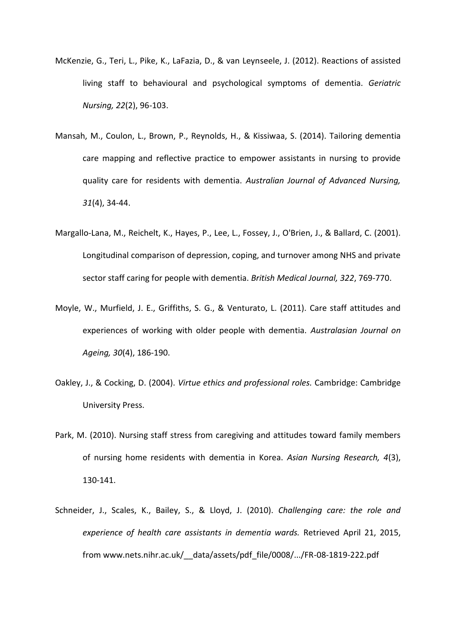- McKenzie, G., Teri, L., Pike, K., LaFazia, D., & van Leynseele, J. (2012). Reactions of assisted living staff to behavioural and psychological symptoms of dementia. *Geriatric Nursing, 22*(2), 96-103.
- Mansah, M., Coulon, L., Brown, P., Reynolds, H., & Kissiwaa, S. (2014). Tailoring dementia care mapping and reflective practice to empower assistants in nursing to provide quality care for residents with dementia. *Australian Journal of Advanced Nursing, 31*(4), 34-44.
- Margallo-Lana, M., Reichelt, K., Hayes, P., Lee, L., Fossey, J., O'Brien, J., & Ballard, C. (2001). Longitudinal comparison of depression, coping, and turnover among NHS and private sector staff caring for people with dementia. *British Medical Journal, 322*, 769-770.
- Moyle, W., Murfield, J. E., Griffiths, S. G., & Venturato, L. (2011). Care staff attitudes and experiences of working with older people with dementia. *Australasian Journal on Ageing, 30*(4), 186-190.
- Oakley, J., & Cocking, D. (2004). *Virtue ethics and professional roles.* Cambridge: Cambridge University Press.
- Park, M. (2010). Nursing staff stress from caregiving and attitudes toward family members of nursing home residents with dementia in Korea. *Asian Nursing Research, 4*(3), 130-141.
- Schneider, J., Scales, K., Bailey, S., & Lloyd, J. (2010). *Challenging care: the role and experience of health care assistants in dementia wards.* Retrieved April 21, 2015, from www.nets.nihr.ac.uk/\_\_data/assets/pdf\_file/0008/.../FR-08-1819-222.pdf